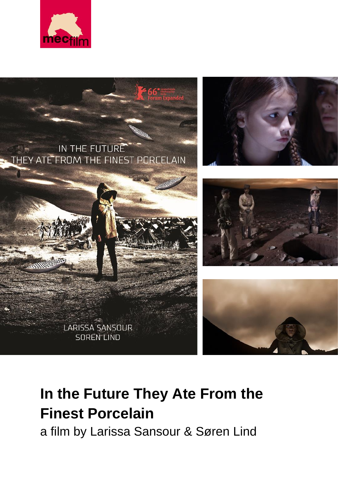



# **In the Future They Ate From the Finest Porcelain**

a film by Larissa Sansour & Søren Lind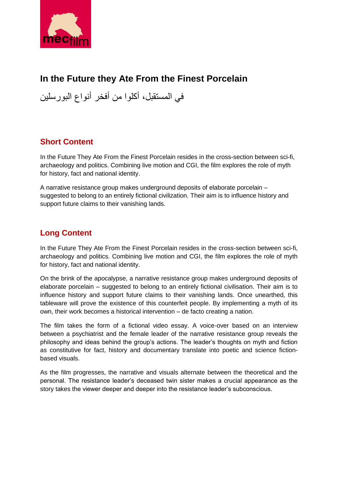

## **In the Future they Ate From the Finest Porcelain**

في المستقبل، أكلوا من أفخر أنواع البورسلين

## **Short Content**

In the Future They Ate From the Finest Porcelain resides in the cross-section between sci-fi, archaeology and politics. Combining live motion and CGI, the film explores the role of myth for history, fact and national identity.

A narrative resistance group makes underground deposits of elaborate porcelain – suggested to belong to an entirely fictional civilization. Their aim is to influence history and support future claims to their vanishing lands.

## **Long Content**

In the Future They Ate From the Finest Porcelain resides in the cross-section between sci-fi, archaeology and politics. Combining live motion and CGI, the film explores the role of myth for history, fact and national identity.

On the brink of the apocalypse, a narrative resistance group makes underground deposits of elaborate porcelain – suggested to belong to an entirely fictional civilisation. Their aim is to influence history and support future claims to their vanishing lands. Once unearthed, this tableware will prove the existence of this counterfeit people. By implementing a myth of its own, their work becomes a historical intervention – de facto creating a nation.

The film takes the form of a fictional video essay. A voice-over based on an interview between a psychiatrist and the female leader of the narrative resistance group reveals the philosophy and ideas behind the group's actions. The leader's thoughts on myth and fiction as constitutive for fact, history and documentary translate into poetic and science fictionbased visuals.

As the film progresses, the narrative and visuals alternate between the theoretical and the personal. The resistance leader's deceased twin sister makes a crucial appearance as the story takes the viewer deeper and deeper into the resistance leader's subconscious.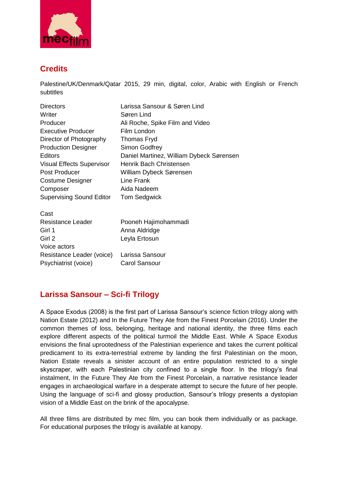

## **Credits**

Palestine/UK/Denmark/Qatar 2015, 29 min, digital, color, Arabic with English or French subtitles

| <b>Directors</b>                 | Larissa Sansour & Søren Lind             |
|----------------------------------|------------------------------------------|
| Writer                           | Søren Lind                               |
| Producer                         | Ali Roche, Spike Film and Video          |
| <b>Executive Producer</b>        | Film London                              |
| Director of Photography          | Thomas Fryd                              |
| <b>Production Designer</b>       | Simon Godfrey                            |
| Editors                          | Daniel Martinez, William Dybeck Sørensen |
| <b>Visual Effects Supervisor</b> | Henrik Bach Christensen                  |
| Post Producer                    | William Dybeck Sørensen                  |
| <b>Costume Designer</b>          | Line Frank                               |
| Composer                         | Aida Nadeem                              |
| <b>Supervising Sound Editor</b>  | <b>Tom Sedgwick</b>                      |
| Cast                             |                                          |
| Resistance Leader                | Pooneh Hajimohammadi                     |
| Girl 1                           | Anna Aldridge                            |
| Girl 2                           | Leyla Ertosun                            |
| Voice actors                     |                                          |
| Resistance Leader (voice)        | Larissa Sansour                          |
| Psychiatrist (voice)             | <b>Carol Sansour</b>                     |
|                                  |                                          |

## **Larissa Sansour – Sci-fi Trilogy**

A Space Exodus (2008) is the first part of Larissa Sansour's science fiction trilogy along with Nation Estate (2012) and In the Future They Ate from the Finest Porcelain (2016). Under the common themes of loss, belonging, heritage and national identity, the three films each explore different aspects of the political turmoil the Middle East. While A Space Exodus envisions the final uprootedness of the Palestinian experience and takes the current political predicament to its extra-terrestrial extreme by landing the first Palestinian on the moon, Nation Estate reveals a sinister account of an entire population restricted to a single skyscraper, with each Palestinian city confined to a single floor. In the trilogy's final instalment, In the Future They Ate from the Finest Porcelain, a narrative resistance leader engages in archaeological warfare in a desperate attempt to secure the future of her people. Using the language of sci-fi and glossy production, Sansour's trilogy presents a dystopian vision of a Middle East on the brink of the apocalypse.

All three films are distributed by mec film, you can book them individually or as package. For educational purposes the trilogy is available at kanopy.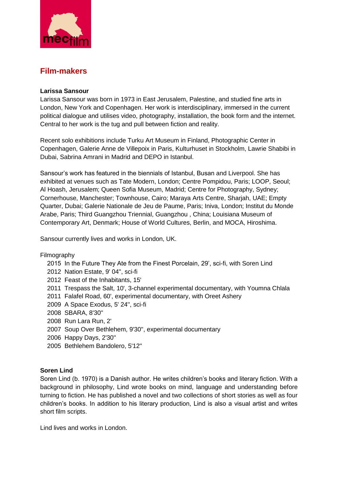

## **Film-makers**

#### **Larissa Sansour**

Larissa Sansour was born in 1973 in East Jerusalem, Palestine, and studied fine arts in London, New York and Copenhagen. Her work is interdisciplinary, immersed in the current political dialogue and utilises video, photography, installation, the book form and the internet. Central to her work is the tug and pull between fiction and reality.

Recent solo exhibitions include Turku Art Museum in Finland, Photographic Center in Copenhagen, Galerie Anne de Villepoix in Paris, Kulturhuset in Stockholm, Lawrie Shabibi in Dubai, Sabrina Amrani in Madrid and DEPO in Istanbul.

Sansour's work has featured in the biennials of Istanbul, Busan and Liverpool. She has exhibited at venues such as Tate Modern, London; Centre Pompidou, Paris; LOOP, Seoul; Al Hoash, Jerusalem; Queen Sofia Museum, Madrid; Centre for Photography, Sydney; Cornerhouse, Manchester; Townhouse, Cairo; Maraya Arts Centre, Sharjah, UAE; Empty Quarter, Dubai; Galerie Nationale de Jeu de Paume, Paris; Iniva, London; Institut du Monde Arabe, Paris; Third Guangzhou Triennial, Guangzhou , China; Louisiana Museum of Contemporary Art, Denmark; House of World Cultures, Berlin, and MOCA, Hiroshima.

Sansour currently lives and works in London, UK.

#### Filmography

 2015 In the Future They Ate from the Finest Porcelain, 29', sci-fi, with Soren Lind 2012 Nation Estate, 9' 04'', sci-fi 2012 Feast of the Inhabitants, 15' 2011 Trespass the Salt, 10', 3-channel experimental documentary, with Youmna Chlala 2011 Falafel Road, 60', experimental documentary, with Oreet Ashery 2009 A Space Exodus, 5' 24'', sci-fi 2008 SBARA, 8'30'' 2008 Run Lara Run, 2' 2007 Soup Over Bethlehem, 9'30'', experimental documentary 2006 Happy Days, 2'30'' 2005 Bethlehem Bandolero, 5'12''

#### **Soren Lind**

Soren Lind (b. 1970) is a Danish author. He writes children's books and literary fiction. With a background in philosophy, Lind wrote books on mind, language and understanding before turning to fiction. He has published a novel and two collections of short stories as well as four children's books. In addition to his literary production, Lind is also a visual artist and writes short film scripts.

Lind lives and works in London.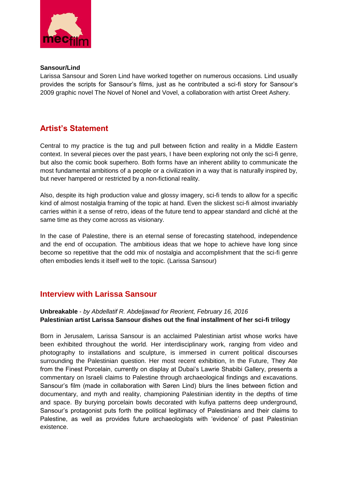

#### **Sansour/Lind**

Larissa Sansour and Soren Lind have worked together on numerous occasions. Lind usually provides the scripts for Sansour's films, just as he contributed a sci-fi story for Sansour's 2009 graphic novel The Novel of Nonel and Vovel, a collaboration with artist Oreet Ashery.

## **Artist's Statement**

Central to my practice is the tug and pull between fiction and reality in a Middle Eastern context. In several pieces over the past years, I have been exploring not only the sci-fi genre, but also the comic book superhero. Both forms have an inherent ability to communicate the most fundamental ambitions of a people or a civilization in a way that is naturally inspired by, but never hampered or restricted by a non-fictional reality.

Also, despite its high production value and glossy imagery, sci-fi tends to allow for a specific kind of almost nostalgia framing of the topic at hand. Even the slickest sci-fi almost invariably carries within it a sense of retro, ideas of the future tend to appear standard and cliché at the same time as they come across as visionary.

In the case of Palestine, there is an eternal sense of forecasting statehood, independence and the end of occupation. The ambitious ideas that we hope to achieve have long since become so repetitive that the odd mix of nostalgia and accomplishment that the sci-fi genre often embodies lends it itself well to the topic. (Larissa Sansour)

### **Interview with Larissa Sansour**

#### **Unbreakable** - *by Abdellatif R. Abdeljawad for Reorient, February 16, 2016* **Palestinian artist Larissa Sansour dishes out the final installment of her sci-fi trilogy**

Born in Jerusalem, Larissa Sansour is an acclaimed Palestinian artist whose works have been exhibited throughout the world. Her interdisciplinary work, ranging from video and photography to installations and sculpture, is immersed in current political discourses surrounding the Palestinian question. Her most recent exhibition, In the Future, They Ate from the Finest Porcelain, currently on display at Dubai's Lawrie Shabibi Gallery, presents a commentary on Israeli claims to Palestine through archaeological findings and excavations. Sansour's film (made in collaboration with Søren Lind) blurs the lines between fiction and documentary, and myth and reality, championing Palestinian identity in the depths of time and space. By burying porcelain bowls decorated with kufiya patterns deep underground, Sansour's protagonist puts forth the political legitimacy of Palestinians and their claims to Palestine, as well as provides future archaeologists with 'evidence' of past Palestinian existence.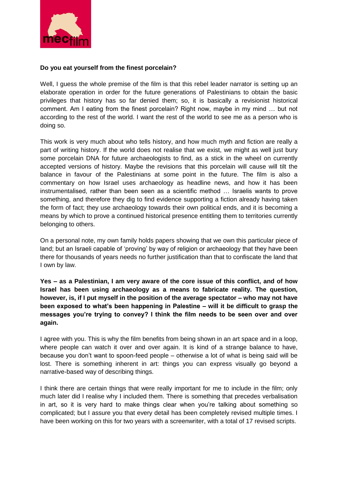

#### **Do you eat yourself from the finest porcelain?**

Well, I guess the whole premise of the film is that this rebel leader narrator is setting up an elaborate operation in order for the future generations of Palestinians to obtain the basic privileges that history has so far denied them; so, it is basically a revisionist historical comment. Am I eating from the finest porcelain? Right now, maybe in my mind … but not according to the rest of the world. I want the rest of the world to see me as a person who is doing so.

This work is very much about who tells history, and how much myth and fiction are really a part of writing history. If the world does not realise that we exist, we might as well just bury some porcelain DNA for future archaeologists to find, as a stick in the wheel on currently accepted versions of history. Maybe the revisions that this porcelain will cause will tilt the balance in favour of the Palestinians at some point in the future. The film is also a commentary on how Israel uses archaeology as headline news, and how it has been instrumentalised, rather than been seen as a scientific method … Israelis wants to prove something, and therefore they dig to find evidence supporting a fiction already having taken the form of fact; they use archaeology towards their own political ends, and it is becoming a means by which to prove a continued historical presence entitling them to territories currently belonging to others.

On a personal note, my own family holds papers showing that we own this particular piece of land; but an Israeli capable of 'proving' by way of religion or archaeology that they have been there for thousands of years needs no further justification than that to confiscate the land that I own by law.

**Yes – as a Palestinian, I am very aware of the core issue of this conflict, and of how Israel has been using archaeology as a means to fabricate reality. The question, however, is, if I put myself in the position of the average spectator – who may not have been exposed to what's been happening in Palestine – will it be difficult to grasp the messages you're trying to convey? I think the film needs to be seen over and over again.**

I agree with you. This is why the film benefits from being shown in an art space and in a loop, where people can watch it over and over again. It is kind of a strange balance to have, because you don't want to spoon-feed people – otherwise a lot of what is being said will be lost. There is something inherent in art: things you can express visually go beyond a narrative-based way of describing things.

I think there are certain things that were really important for me to include in the film; only much later did I realise why I included them. There is something that precedes verbalisation in art, so it is very hard to make things clear when you're talking about something so complicated; but I assure you that every detail has been completely revised multiple times. I have been working on this for two years with a screenwriter, with a total of 17 revised scripts.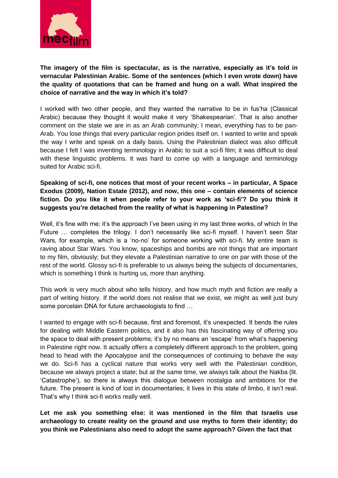

**The imagery of the film is spectacular, as is the narrative, especially as it's told in vernacular Palestinian Arabic. Some of the sentences (which I even wrote down) have the quality of quotations that can be framed and hung on a wall. What inspired the choice of narrative and the way in which it's told?**

I worked with two other people, and they wanted the narrative to be in fus'ha (Classical Arabic) because they thought it would make it very 'Shakespearian'. That is also another comment on the state we are in as an Arab community; I mean, everything has to be pan-Arab. You lose things that every particular region prides itself on. I wanted to write and speak the way I write and speak on a daily basis. Using the Palestinian dialect was also difficult because I felt I was inventing terminology in Arabic to suit a sci-fi film; it was difficult to deal with these linguistic problems. It was hard to come up with a language and terminology suited for Arabic sci-fi.

**Speaking of sci-fi, one notices that most of your recent works – in particular, A Space Exodus (2009), Nation Estate (2012), and now, this one – contain elements of science fiction. Do you like it when people refer to your work as 'sci-fi'? Do you think it suggests you're detached from the reality of what is happening in Palestine?**

Well, it's fine with me; it's the approach I've been using in my last three works, of which In the Future … completes the trilogy. I don't necessarily like sci-fi myself. I haven't seen Star Wars, for example, which is a 'no-no' for someone working with sci-fi. My entire team is raving about Star Wars. You know, spaceships and bombs are not things that are important to my film, obviously; but they elevate a Palestinian narrative to one on par with those of the rest of the world. Glossy sci-fi is preferable to us always being the subjects of documentaries, which is something I think is hurting us, more than anything.

This work is very much about who tells history, and how much myth and fiction are really a part of writing history. If the world does not realise that we exist, we might as well just bury some porcelain DNA for future archaeologists to find …

I wanted to engage with sci-fi because, first and foremost, it's unexpected. It bends the rules for dealing with Middle Eastern politics, and it also has this fascinating way of offering you the space to deal with present problems; it's by no means an 'escape' from what's happening in Palestine right now. It actually offers a completely different approach to the problem, going head to head with the Apocalypse and the consequences of continuing to behave the way we do. Sci-fi has a cyclical nature that works very well with the Palestinian condition, because we always project a state; but at the same time, we always talk about the Nakba (lit. 'Catastrophe'), so there is always this dialogue between nostalgia and ambitions for the future. The present is kind of lost in documentaries; it lives in this state of limbo, it isn't real. That's why I think sci-fi works really well.

**Let me ask you something else: it was mentioned in the film that Israelis use archaeology to create reality on the ground and use myths to form their identity; do you think we Palestinians also need to adopt the same approach? Given the fact that**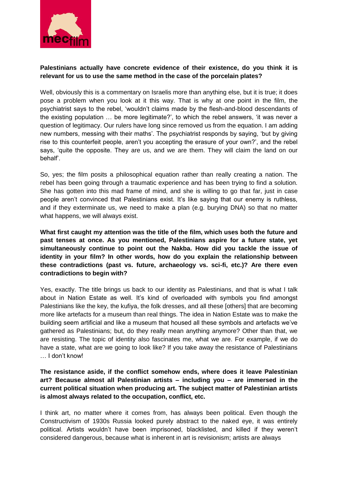

#### **Palestinians actually have concrete evidence of their existence, do you think it is relevant for us to use the same method in the case of the porcelain plates?**

Well, obviously this is a commentary on Israelis more than anything else, but it is true; it does pose a problem when you look at it this way. That is why at one point in the film, the psychiatrist says to the rebel, 'wouldn't claims made by the flesh-and-blood descendants of the existing population … be more legitimate?', to which the rebel answers, 'it was never a question of legitimacy. Our rulers have long since removed us from the equation. I am adding new numbers, messing with their maths'. The psychiatrist responds by saying, 'but by giving rise to this counterfeit people, aren't you accepting the erasure of your own?', and the rebel says, 'quite the opposite. They are us, and we are them. They will claim the land on our behalf'.

So, yes; the film posits a philosophical equation rather than really creating a nation. The rebel has been going through a traumatic experience and has been trying to find a solution. She has gotten into this mad frame of mind, and she is willing to go that far, just in case people aren't convinced that Palestinians exist. It's like saying that our enemy is ruthless, and if they exterminate us, we need to make a plan (e.g. burying DNA) so that no matter what happens, we will always exist.

**What first caught my attention was the title of the film, which uses both the future and past tenses at once. As you mentioned, Palestinians aspire for a future state, yet simultaneously continue to point out the Nakba. How did you tackle the issue of identity in your film? In other words, how do you explain the relationship between these contradictions (past vs. future, archaeology vs. sci-fi, etc.)? Are there even contradictions to begin with?**

Yes, exactly. The title brings us back to our identity as Palestinians, and that is what I talk about in Nation Estate as well. It's kind of overloaded with symbols you find amongst Palestinians like the key, the kufiya, the folk dresses, and all these [others] that are becoming more like artefacts for a museum than real things. The idea in Nation Estate was to make the building seem artificial and like a museum that housed all these symbols and artefacts we've gathered as Palestinians; but, do they really mean anything anymore? Other than that, we are resisting. The topic of identity also fascinates me, what we are. For example, if we do have a state, what are we going to look like? If you take away the resistance of Palestinians … I don't know!

**The resistance aside, if the conflict somehow ends, where does it leave Palestinian art? Because almost all Palestinian artists – including you – are immersed in the current political situation when producing art. The subject matter of Palestinian artists is almost always related to the occupation, conflict, etc.**

I think art, no matter where it comes from, has always been political. Even though the Constructivism of 1930s Russia looked purely abstract to the naked eye, it was entirely political. Artists wouldn't have been imprisoned, blacklisted, and killed if they weren't considered dangerous, because what is inherent in art is revisionism; artists are always